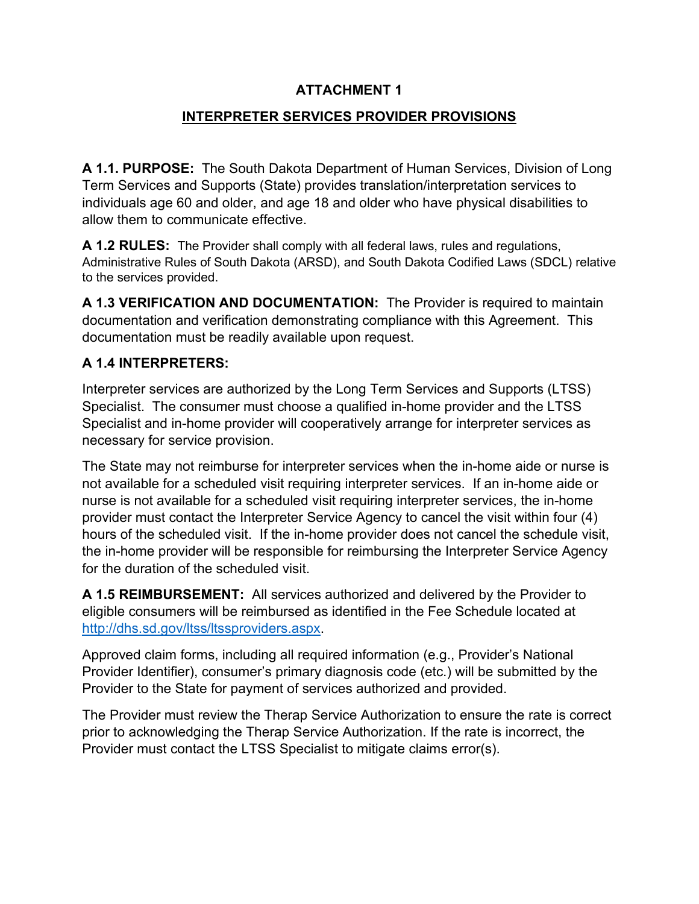### **ATTACHMENT 1**

#### **INTERPRETER SERVICES PROVIDER PROVISIONS**

**A 1.1. PURPOSE:** The South Dakota Department of Human Services, Division of Long Term Services and Supports (State) provides translation/interpretation services to individuals age 60 and older, and age 18 and older who have physical disabilities to allow them to communicate effective.

**A 1.2 RULES:** The Provider shall comply with all federal laws, rules and regulations, Administrative Rules of South Dakota (ARSD), and South Dakota Codified Laws (SDCL) relative to the services provided.

**A 1.3 VERIFICATION AND DOCUMENTATION:** The Provider is required to maintain documentation and verification demonstrating compliance with this Agreement. This documentation must be readily available upon request.

#### **A 1.4 INTERPRETERS:**

Interpreter services are authorized by the Long Term Services and Supports (LTSS) Specialist. The consumer must choose a qualified in-home provider and the LTSS Specialist and in-home provider will cooperatively arrange for interpreter services as necessary for service provision.

The State may not reimburse for interpreter services when the in-home aide or nurse is not available for a scheduled visit requiring interpreter services. If an in-home aide or nurse is not available for a scheduled visit requiring interpreter services, the in-home provider must contact the Interpreter Service Agency to cancel the visit within four (4) hours of the scheduled visit. If the in-home provider does not cancel the schedule visit, the in-home provider will be responsible for reimbursing the Interpreter Service Agency for the duration of the scheduled visit.

**A 1.5 REIMBURSEMENT:** All services authorized and delivered by the Provider to eligible consumers will be reimbursed as identified in the Fee Schedule located at [http://dhs.sd.gov/ltss/ltssproviders.aspx.](http://dhs.sd.gov/ltss/ltssproviders.aspx)

Approved claim forms, including all required information (e.g., Provider's National Provider Identifier), consumer's primary diagnosis code (etc.) will be submitted by the Provider to the State for payment of services authorized and provided.

The Provider must review the Therap Service Authorization to ensure the rate is correct prior to acknowledging the Therap Service Authorization. If the rate is incorrect, the Provider must contact the LTSS Specialist to mitigate claims error(s).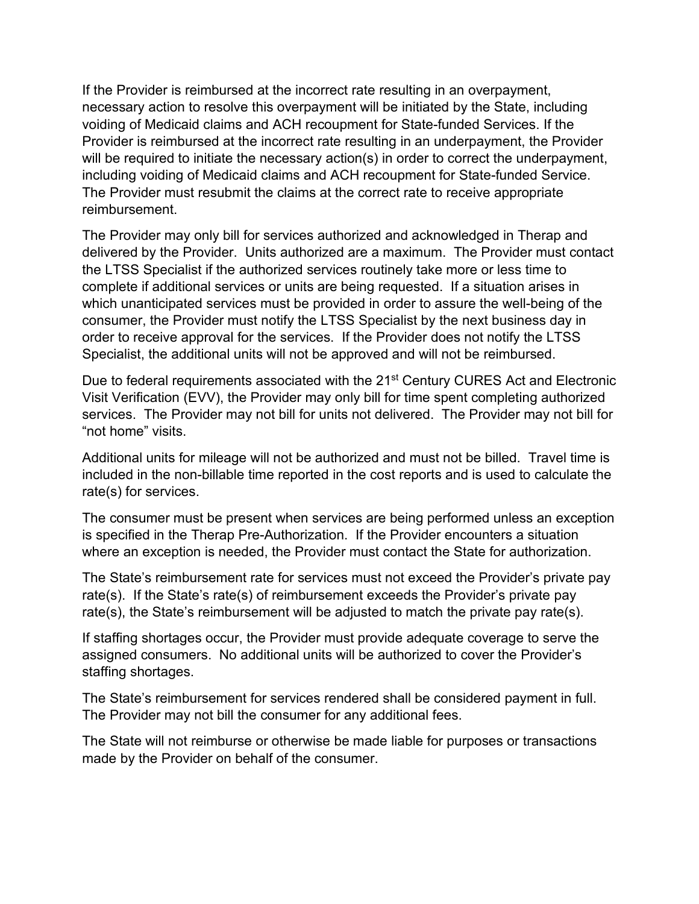If the Provider is reimbursed at the incorrect rate resulting in an overpayment, necessary action to resolve this overpayment will be initiated by the State, including voiding of Medicaid claims and ACH recoupment for State-funded Services. If the Provider is reimbursed at the incorrect rate resulting in an underpayment, the Provider will be required to initiate the necessary action(s) in order to correct the underpayment, including voiding of Medicaid claims and ACH recoupment for State-funded Service. The Provider must resubmit the claims at the correct rate to receive appropriate reimbursement.

The Provider may only bill for services authorized and acknowledged in Therap and delivered by the Provider. Units authorized are a maximum. The Provider must contact the LTSS Specialist if the authorized services routinely take more or less time to complete if additional services or units are being requested. If a situation arises in which unanticipated services must be provided in order to assure the well-being of the consumer, the Provider must notify the LTSS Specialist by the next business day in order to receive approval for the services. If the Provider does not notify the LTSS Specialist, the additional units will not be approved and will not be reimbursed.

Due to federal requirements associated with the 21<sup>st</sup> Century CURES Act and Electronic Visit Verification (EVV), the Provider may only bill for time spent completing authorized services. The Provider may not bill for units not delivered. The Provider may not bill for "not home" visits.

Additional units for mileage will not be authorized and must not be billed. Travel time is included in the non-billable time reported in the cost reports and is used to calculate the rate(s) for services.

The consumer must be present when services are being performed unless an exception is specified in the Therap Pre-Authorization. If the Provider encounters a situation where an exception is needed, the Provider must contact the State for authorization.

The State's reimbursement rate for services must not exceed the Provider's private pay rate(s). If the State's rate(s) of reimbursement exceeds the Provider's private pay rate(s), the State's reimbursement will be adjusted to match the private pay rate(s).

If staffing shortages occur, the Provider must provide adequate coverage to serve the assigned consumers. No additional units will be authorized to cover the Provider's staffing shortages.

The State's reimbursement for services rendered shall be considered payment in full. The Provider may not bill the consumer for any additional fees.

The State will not reimburse or otherwise be made liable for purposes or transactions made by the Provider on behalf of the consumer.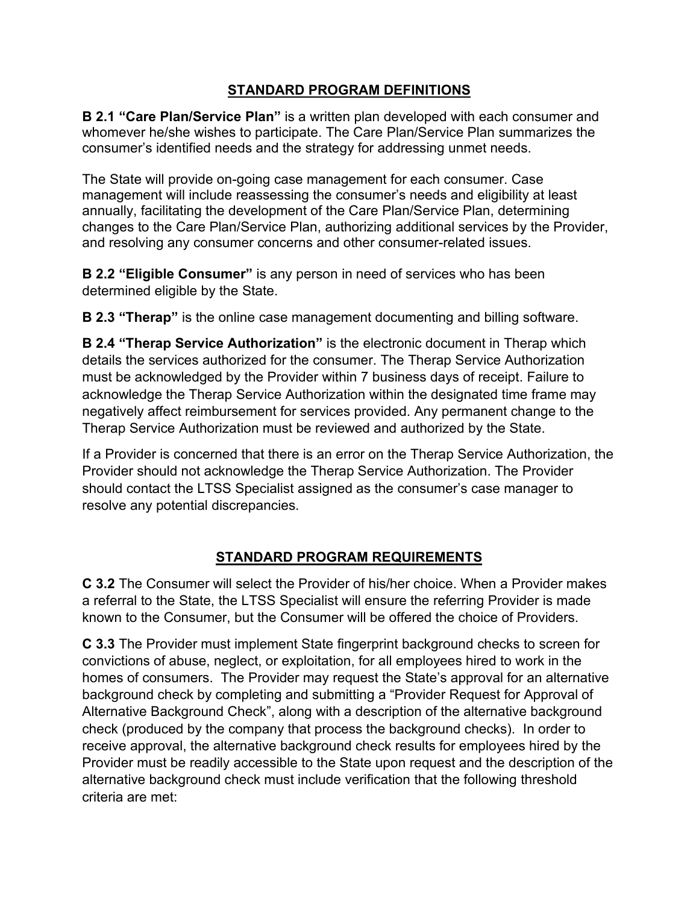## **STANDARD PROGRAM DEFINITIONS**

**B 2.1 "Care Plan/Service Plan"** is a written plan developed with each consumer and whomever he/she wishes to participate. The Care Plan/Service Plan summarizes the consumer's identified needs and the strategy for addressing unmet needs.

The State will provide on-going case management for each consumer. Case management will include reassessing the consumer's needs and eligibility at least annually, facilitating the development of the Care Plan/Service Plan, determining changes to the Care Plan/Service Plan, authorizing additional services by the Provider, and resolving any consumer concerns and other consumer-related issues.

**B 2.2 "Eligible Consumer"** is any person in need of services who has been determined eligible by the State.

**B 2.3 "Therap"** is the online case management documenting and billing software.

**B 2.4 "Therap Service Authorization"** is the electronic document in Therap which details the services authorized for the consumer. The Therap Service Authorization must be acknowledged by the Provider within 7 business days of receipt. Failure to acknowledge the Therap Service Authorization within the designated time frame may negatively affect reimbursement for services provided. Any permanent change to the Therap Service Authorization must be reviewed and authorized by the State.

If a Provider is concerned that there is an error on the Therap Service Authorization, the Provider should not acknowledge the Therap Service Authorization. The Provider should contact the LTSS Specialist assigned as the consumer's case manager to resolve any potential discrepancies.

# **STANDARD PROGRAM REQUIREMENTS**

**C 3.2** The Consumer will select the Provider of his/her choice. When a Provider makes a referral to the State, the LTSS Specialist will ensure the referring Provider is made known to the Consumer, but the Consumer will be offered the choice of Providers.

**C 3.3** The Provider must implement State fingerprint background checks to screen for convictions of abuse, neglect, or exploitation, for all employees hired to work in the homes of consumers. The Provider may request the State's approval for an alternative background check by completing and submitting a "Provider Request for Approval of Alternative Background Check", along with a description of the alternative background check (produced by the company that process the background checks). In order to receive approval, the alternative background check results for employees hired by the Provider must be readily accessible to the State upon request and the description of the alternative background check must include verification that the following threshold criteria are met: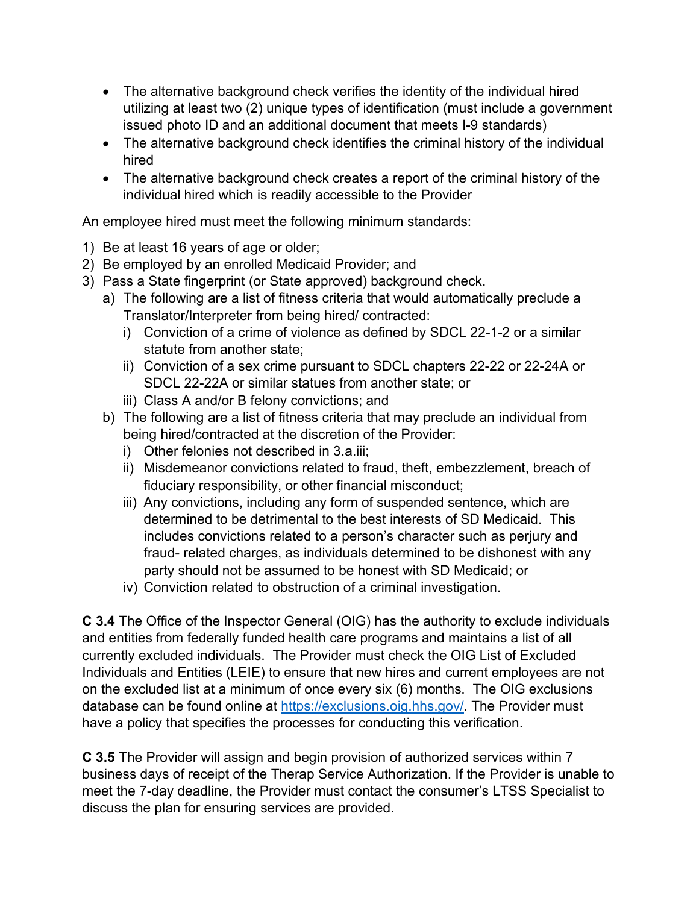- The alternative background check verifies the identity of the individual hired utilizing at least two (2) unique types of identification (must include a government issued photo ID and an additional document that meets I-9 standards)
- The alternative background check identifies the criminal history of the individual hired
- The alternative background check creates a report of the criminal history of the individual hired which is readily accessible to the Provider

An employee hired must meet the following minimum standards:

- 1) Be at least 16 years of age or older;
- 2) Be employed by an enrolled Medicaid Provider; and
- 3) Pass a State fingerprint (or State approved) background check.
	- a) The following are a list of fitness criteria that would automatically preclude a Translator/Interpreter from being hired/ contracted:
		- i) Conviction of a crime of violence as defined by SDCL 22-1-2 or a similar statute from another state;
		- ii) Conviction of a sex crime pursuant to SDCL chapters 22-22 or 22-24A or SDCL 22-22A or similar statues from another state; or
		- iii) Class A and/or B felony convictions; and
	- b) The following are a list of fitness criteria that may preclude an individual from being hired/contracted at the discretion of the Provider:
		- i) Other felonies not described in 3.a.iii;
		- ii) Misdemeanor convictions related to fraud, theft, embezzlement, breach of fiduciary responsibility, or other financial misconduct;
		- iii) Any convictions, including any form of suspended sentence, which are determined to be detrimental to the best interests of SD Medicaid. This includes convictions related to a person's character such as perjury and fraud- related charges, as individuals determined to be dishonest with any party should not be assumed to be honest with SD Medicaid; or
		- iv) Conviction related to obstruction of a criminal investigation.

**C 3.4** The Office of the Inspector General (OIG) has the authority to exclude individuals and entities from federally funded health care programs and maintains a list of all currently excluded individuals. The Provider must check the OIG List of Excluded Individuals and Entities (LEIE) to ensure that new hires and current employees are not on the excluded list at a minimum of once every six (6) months. The OIG exclusions database can be found online at [https://exclusions.oig.hhs.gov/.](https://exclusions.oig.hhs.gov/) The Provider must have a policy that specifies the processes for conducting this verification.

**C 3.5** The Provider will assign and begin provision of authorized services within 7 business days of receipt of the Therap Service Authorization. If the Provider is unable to meet the 7-day deadline, the Provider must contact the consumer's LTSS Specialist to discuss the plan for ensuring services are provided.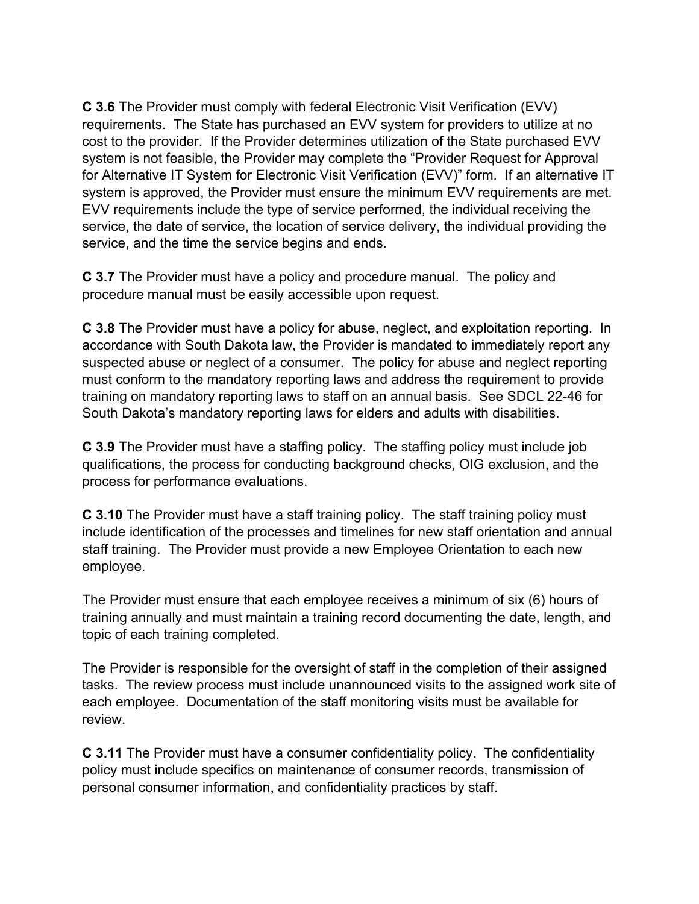**C 3.6** The Provider must comply with federal Electronic Visit Verification (EVV) requirements. The State has purchased an EVV system for providers to utilize at no cost to the provider. If the Provider determines utilization of the State purchased EVV system is not feasible, the Provider may complete the "Provider Request for Approval for Alternative IT System for Electronic Visit Verification (EVV)" form. If an alternative IT system is approved, the Provider must ensure the minimum EVV requirements are met. EVV requirements include the type of service performed, the individual receiving the service, the date of service, the location of service delivery, the individual providing the service, and the time the service begins and ends.

**C 3.7** The Provider must have a policy and procedure manual. The policy and procedure manual must be easily accessible upon request.

**C 3.8** The Provider must have a policy for abuse, neglect, and exploitation reporting. In accordance with South Dakota law, the Provider is mandated to immediately report any suspected abuse or neglect of a consumer. The policy for abuse and neglect reporting must conform to the mandatory reporting laws and address the requirement to provide training on mandatory reporting laws to staff on an annual basis. See SDCL 22-46 for South Dakota's mandatory reporting laws for elders and adults with disabilities.

**C 3.9** The Provider must have a staffing policy. The staffing policy must include job qualifications, the process for conducting background checks, OIG exclusion, and the process for performance evaluations.

**C 3.10** The Provider must have a staff training policy. The staff training policy must include identification of the processes and timelines for new staff orientation and annual staff training. The Provider must provide a new Employee Orientation to each new employee.

The Provider must ensure that each employee receives a minimum of six (6) hours of training annually and must maintain a training record documenting the date, length, and topic of each training completed.

The Provider is responsible for the oversight of staff in the completion of their assigned tasks. The review process must include unannounced visits to the assigned work site of each employee. Documentation of the staff monitoring visits must be available for review.

**C 3.11** The Provider must have a consumer confidentiality policy. The confidentiality policy must include specifics on maintenance of consumer records, transmission of personal consumer information, and confidentiality practices by staff.